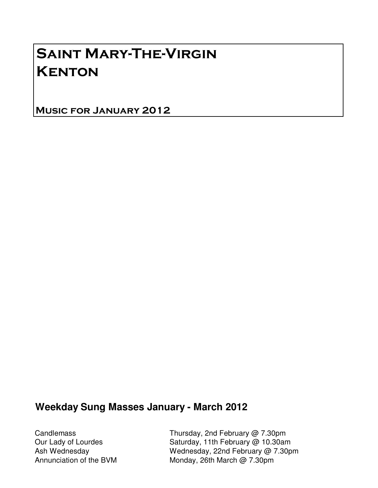# Saint Mary-The-Virgin **KENTON**

Music for January 2012

#### **Weekday Sung Masses January - March 2012**

Candlemass Thursday, 2nd February @ 7.30pm Our Lady of Lourdes Saturday, 11th February @ 10.30am Ash Wednesday Mednesday, 22nd February @ 7.30pm Annunciation of the BVM Monday, 26th March @ 7.30pm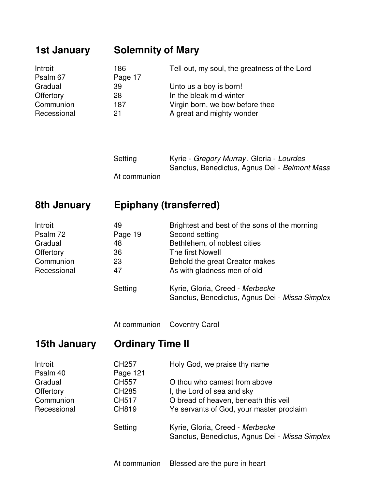### **1st January Solemnity of Mary**

| Introit     | 186     | Tell out, my soul, the greatness of the Lord |
|-------------|---------|----------------------------------------------|
| Psalm 67    | Page 17 |                                              |
| Gradual     | 39      | Unto us a boy is born!                       |
| Offertory   | 28      | In the bleak mid-winter                      |
| Communion   | 187     | Virgin born, we bow before thee              |
| Recessional | 21      | A great and mighty wonder                    |

| Setting      | Kyrie - Gregory Murray, Gloria - Lourdes      |
|--------------|-----------------------------------------------|
|              | Sanctus, Benedictus, Agnus Dei - Belmont Mass |
| At communion |                                               |

# **8th January Epiphany (transferred)**

| Introit     | 49      | Brightest and best of the sons of the morning                                     |
|-------------|---------|-----------------------------------------------------------------------------------|
| Psalm 72    | Page 19 | Second setting                                                                    |
| Gradual     | 48      | Bethlehem, of noblest cities                                                      |
| Offertory   | 36      | The first Nowell                                                                  |
| Communion   | 23      | Behold the great Creator makes                                                    |
| Recessional | 47      | As with gladness men of old                                                       |
|             | Setting | Kyrie, Gloria, Creed - Merbecke<br>Sanctus, Benedictus, Agnus Dei - Missa Simplex |

At communion Coventry Carol

**15th January Ordinary Time II**

| Introit     | CH <sub>257</sub> | Holy God, we praise thy name                   |
|-------------|-------------------|------------------------------------------------|
| Psalm 40    | Page 121          |                                                |
| Gradual     | CH557             | O thou who camest from above                   |
| Offertory   | <b>CH285</b>      | I, the Lord of sea and sky                     |
| Communion   | CH517             | O bread of heaven, beneath this veil           |
| Recessional | <b>CH819</b>      | Ye servants of God, your master proclaim       |
|             | Setting           | Kyrie, Gloria, Creed - Merbecke                |
|             |                   | Sanctus, Benedictus, Agnus Dei - Missa Simplex |